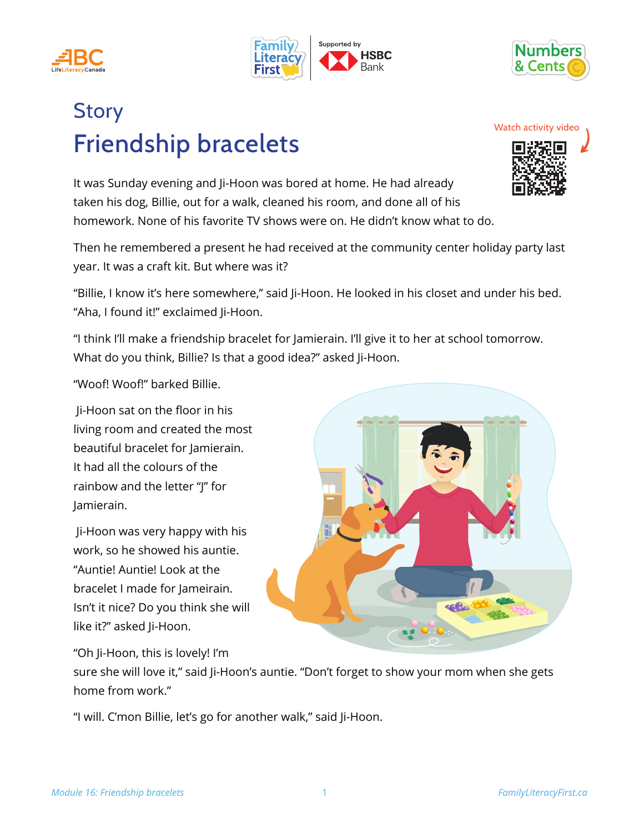





## Friendship bracelets **Story**

It was Sunday evening and Ji-Hoon was bored at home. He had already taken his dog, Billie, out for a walk, cleaned his room, and done all of his homework. None of his favorite TV shows were on. He didn't know what to do.

Then he remembered a present he had received at the community center holiday party last year. It was a craft kit. But where was it?

"Billie, I know it's here somewhere," said Ji-Hoon. He looked in his closet and under his bed. "Aha, I found it!" exclaimed Ji-Hoon.

"I think I'll make a friendship bracelet for Jamierain. I'll give it to her at school tomorrow. What do you think, Billie? Is that a good idea?" asked Ji-Hoon.

"Woof! Woof!" barked Billie.

 Ji-Hoon sat on the floor in his living room and created the most beautiful bracelet for Jamierain. It had all the colours of the rainbow and the letter "J" for Jamierain.

 Ji-Hoon was very happy with his work, so he showed his auntie. "Auntie! Auntie! Look at the bracelet I made for Jameirain. Isn't it nice? Do you think she will like it?" asked li-Hoon.

"Oh Ji-Hoon, this is lovely! I'm

sure she will love it," said Ji-Hoon's auntie. "Don't forget to show your mom when she gets home from work."

"I will. C'mon Billie, let's go for another walk," said Ji-Hoon.



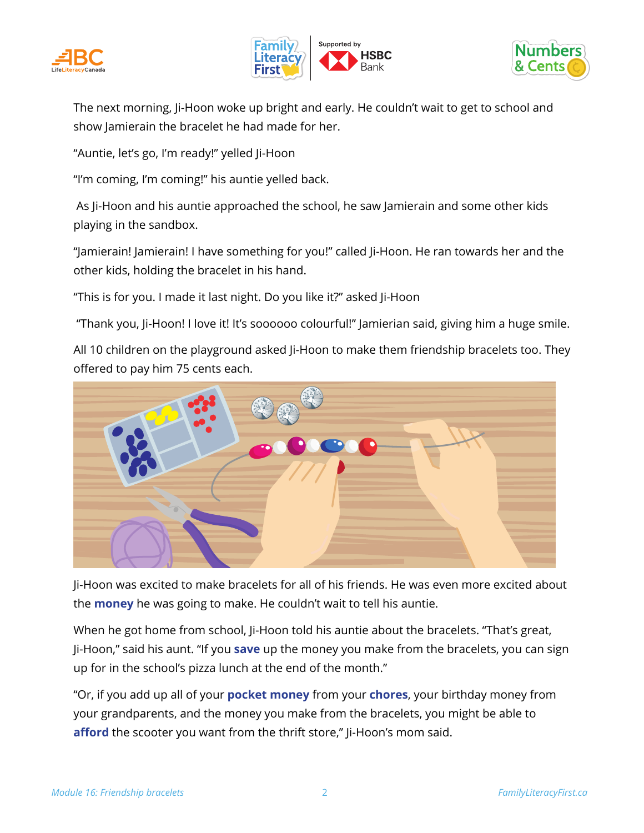





The next morning, Ji-Hoon woke up bright and early. He couldn't wait to get to school and show Jamierain the bracelet he had made for her.

"Auntie, let's go, I'm ready!" yelled Ji-Hoon

"I'm coming, I'm coming!" his auntie yelled back.

 As Ji-Hoon and his auntie approached the school, he saw Jamierain and some other kids playing in the sandbox.

"Jamierain! Jamierain! I have something for you!" called Ji-Hoon. He ran towards her and the other kids, holding the bracelet in his hand.

"This is for you. I made it last night. Do you like it?" asked Ji-Hoon

"Thank you, Ji-Hoon! I love it! It's soooooo colourful!" Jamierian said, giving him a huge smile.

All 10 children on the playground asked Ji-Hoon to make them friendship bracelets too. They offered to pay him 75 cents each.



Ji-Hoon was excited to make bracelets for all of his friends. He was even more excited about the **money** he was going to make. He couldn't wait to tell his auntie.

When he got home from school, Ji-Hoon told his auntie about the bracelets. "That's great, Ji-Hoon," said his aunt. "If you **save** up the money you make from the bracelets, you can sign up for in the school's pizza lunch at the end of the month."

"Or, if you add up all of your **pocket money** from your **chores**, your birthday money from your grandparents, and the money you make from the bracelets, you might be able to afford the scooter you want from the thrift store," Ji-Hoon's mom said.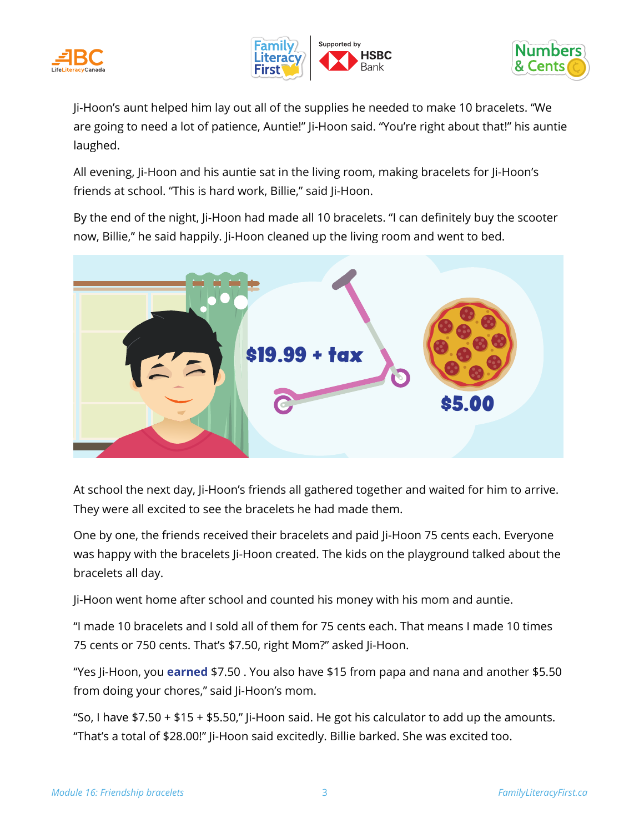





Ji-Hoon's aunt helped him lay out all of the supplies he needed to make 10 bracelets. "We are going to need a lot of patience, Auntie!" Ji-Hoon said. "You're right about that!" his auntie laughed.

All evening, Ji-Hoon and his auntie sat in the living room, making bracelets for Ji-Hoon's friends at school. "This is hard work, Billie," said Ji-Hoon.

By the end of the night, Ji-Hoon had made all 10 bracelets. "I can definitely buy the scooter now, Billie," he said happily. Ji-Hoon cleaned up the living room and went to bed.



At school the next day, Ji-Hoon's friends all gathered together and waited for him to arrive. They were all excited to see the bracelets he had made them.

One by one, the friends received their bracelets and paid Ji-Hoon 75 cents each. Everyone was happy with the bracelets Ji-Hoon created. The kids on the playground talked about the bracelets all day.

Ji-Hoon went home after school and counted his money with his mom and auntie.

"I made 10 bracelets and I sold all of them for 75 cents each. That means I made 10 times 75 cents or 750 cents. That's \$7.50, right Mom?" asked Ji-Hoon.

"Yes Ji-Hoon, you **earned** \$7.50 . You also have \$15 from papa and nana and another \$5.50 from doing your chores," said Ji-Hoon's mom.

"So, I have  $$7.50 + $15 + $5.50$ ," Ji-Hoon said. He got his calculator to add up the amounts. "That's a total of \$28.00!" Ji-Hoon said excitedly. Billie barked. She was excited too.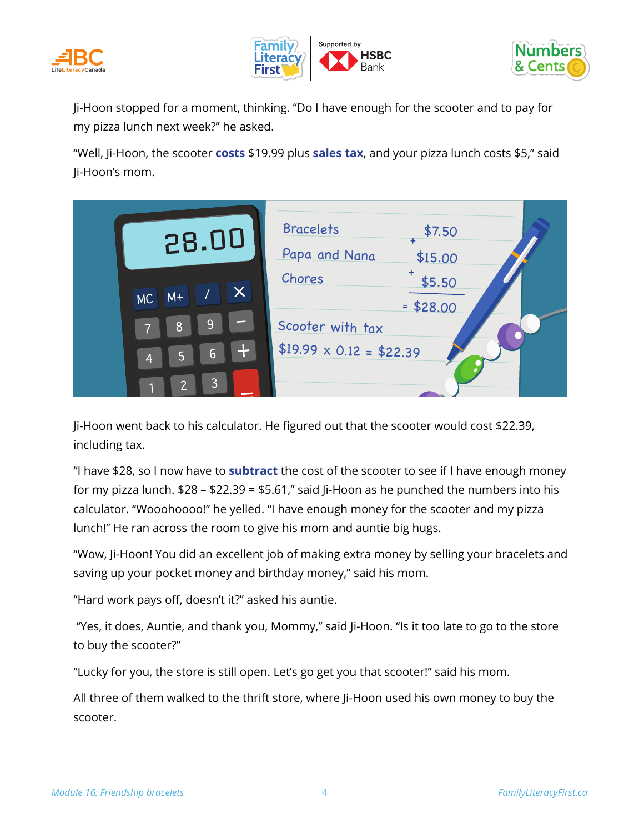





Ji-Hoon stopped for a moment, thinking. "Do I have enough for the scooter and to pay for my pizza lunch next week?" he asked.

"Well, Ji-Hoon, the scooter **costs** \$19.99 plus **sales tax**, and your pizza lunch costs \$5," said Ji-Hoon's mom.

|                               | 28.00                                                                | <b>Bracelets</b><br>Papa and Nana                             | \$7.50<br>\$15.00    |  |
|-------------------------------|----------------------------------------------------------------------|---------------------------------------------------------------|----------------------|--|
| $M +$<br>MC<br>$\overline{4}$ | $\bm{\times}$<br><u> 19</u><br>8<br>$\mathbf{H}$<br>6<br>5<br>3<br>っ | Chores<br>Scooter with tax<br>\$19.99 $\times$ 0.12 = \$22.39 | \$5.50<br>$= $28.00$ |  |

Ji-Hoon went back to his calculator. He figured out that the scooter would cost \$22.39, including tax.

"I have \$28, so I now have to **subtract** the cost of the scooter to see if I have enough money for my pizza lunch. \$28 – \$22.39 = \$5.61," said Ji-Hoon as he punched the numbers into his calculator. "Wooohoooo!" he yelled. "I have enough money for the scooter and my pizza lunch!" He ran across the room to give his mom and auntie big hugs.

"Wow, Ji-Hoon! You did an excellent job of making extra money by selling your bracelets and saving up your pocket money and birthday money," said his mom.

"Hard work pays off, doesn't it?" asked his auntie.

 "Yes, it does, Auntie, and thank you, Mommy," said Ji-Hoon. "Is it too late to go to the store to buy the scooter?"

"Lucky for you, the store is still open. Let's go get you that scooter!" said his mom.

All three of them walked to the thrift store, where Ji-Hoon used his own money to buy the scooter.